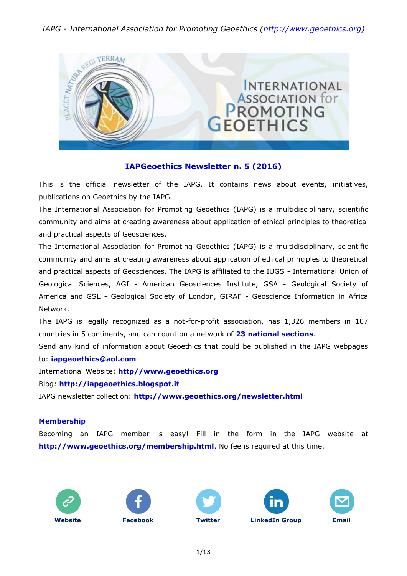

#### **IAPGeoethics Newsletter n. 5 (2016)**

This is the official newsletter of the IAPG. It contains news about events, initiatives, publications on Geoethics by the IAPG.

The International Association for Promoting Geoethics (IAPG) is a multidisciplinary, scientific community and aims at creating awareness about application of ethical principles to theoretical and practical aspects of Geosciences.

The International Association for Promoting Geoethics (IAPG) is a multidisciplinary, scientific community and aims at creating awareness about application of ethical principles to theoretical and practical aspects of Geosciences. The IAPG is affiliated to the IUGS - International Union of Geological Sciences, AGI - American Geosciences Institute, GSA - Geological Society of America and GSL - Geological Society of London, GIRAF - Geoscience Information in Africa Network.

The IAPG is legally recognized as a not-for-profit association, has 1,326 members in 107 countries in 5 continents, and can count on a network of **[23 national sections](http://www.geoethics.org/sections.html)**.

Send any kind of information about Geoethics that could be published in the IAPG webpages to: **[iapgeoethics@aol.com](mailto:iapgeoethics@aol.com?subject=IAPG%20newsletter)**

International Website: **[http//www.geoethics.org](http://www.geoethics.org/)**

Blog: **[http://iapgeoethics.blogspot.it](http://iapgeoethics.blogspot.it/)**

IAPG newsletter collection: **<http://www.geoethics.org/newsletter.html>**

#### **Membership**

Becoming an IAPG member is easy! Fill in the form in the IAPG website at **<http://www.geoethics.org/membership.html>**. No fee is required at this time.









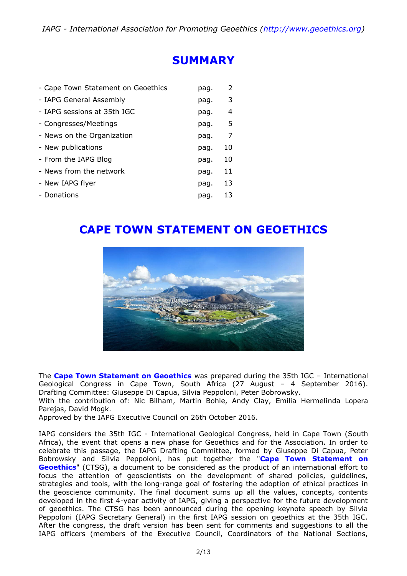## **SUMMARY**

| - Cape Town Statement on Geoethics | pag. | 2  |
|------------------------------------|------|----|
| - IAPG General Assembly            | pag. | 3  |
| - IAPG sessions at 35th IGC        | pag. | 4  |
| - Congresses/Meetings              | pag. | .5 |
| - News on the Organization         | pag. | 7  |
| - New publications                 | pag. | 10 |
| - From the IAPG Blog               | pag. | 10 |
| - News from the network            | pag. | 11 |
| - New IAPG flyer                   | pag. | 13 |
| - Donations                        | pag. | 13 |

# **CAPE TOWN STATEMENT ON GEOETHICS**



The **[Cape Town Statement on Geoethics](http://www.geoethics.org/ctsg)** was prepared during the 35th IGC – International Geological Congress in Cape Town, South Africa (27 August – 4 September 2016). Drafting Committee: Giuseppe Di Capua, Silvia Peppoloni, Peter Bobrowsky.

With the contribution of: Nic Bilham, Martin Bohle, Andy Clay, Emilia Hermelinda Lopera Parejas, David Mogk.

Approved by the IAPG Executive Council on 26th October 2016.

IAPG considers the 35th IGC - International Geological Congress, held in Cape Town (South Africa), the event that opens a new phase for Geoethics and for the Association. In order to celebrate this passage, the IAPG Drafting Committee, formed by Giuseppe Di Capua, Peter Bobrowsky and Silvia Peppoloni, has put together the "**[Cape Town Statement on](http://www.geoethics.org/ctsg)  [Geoethics](http://www.geoethics.org/ctsg)**" (CTSG), a document to be considered as the product of an international effort to focus the attention of geoscientists on the development of shared policies, guidelines, strategies and tools, with the long-range goal of fostering the adoption of ethical practices in the geoscience community. The final document sums up all the values, concepts, contents developed in the first 4-year activity of IAPG, giving a perspective for the future development of geoethics. The CTSG has been announced during the opening keynote speech by Silvia Peppoloni (IAPG Secretary General) in the first IAPG session on geoethics at the 35th IGC. After the congress, the draft version has been sent for comments and suggestions to all the IAPG officers (members of the Executive Council, Coordinators of the National Sections,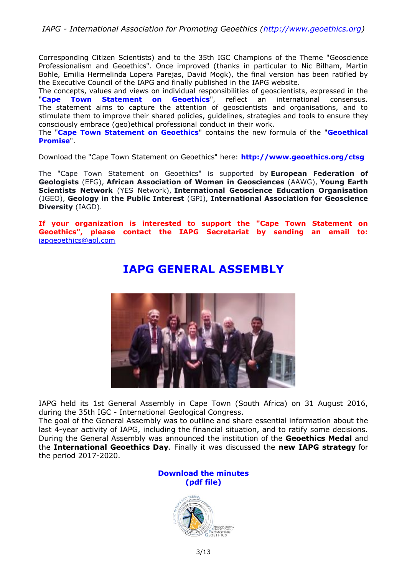Corresponding Citizen Scientists) and to the 35th IGC Champions of the Theme "Geoscience Professionalism and Geoethics". Once improved (thanks in particular to Nic Bilham, Martin Bohle, Emilia Hermelinda Lopera Parejas, David Mogk), the final version has been ratified by the Executive Council of the IAPG and finally published in the IAPG website.

The concepts, values and views on individual responsibilities of geoscientists, expressed in the "**[Cape Town Statement on Geoethics](http://www.geoethics.org/ctsg)**", reflect an international consensus. The statement aims to capture the attention of geoscientists and organisations, and to stimulate them to improve their shared policies, guidelines, strategies and tools to ensure they consciously embrace (geo)ethical professional conduct in their work.

The "**[Cape Town Statement on Geoethics](http://www.geoethics.org/ctsg)**" contains the new formula of the "**[Geoethical](http://www.geoethics.org/geopromise)  [Promise](http://www.geoethics.org/geopromise)**".

Download the "Cape Town Statement on Geoethics" here: **<http://www.geoethics.org/ctsg>**

The "Cape Town Statement on Geoethics" is supported by **European Federation of Geologists** (EFG), **African Association of Women in Geosciences** (AAWG), **Young Earth Scientists Network** (YES Network), **International Geoscience Education Organisation** (IGEO), **Geology in the Public Interest** (GPI), **International Association for Geoscience Diversity** (IAGD).

**If your organization is interested to support the "Cape Town Statement on Geoethics", please contact the IAPG Secretariat by sending an email to:** [iapgeoethics@aol.com](mailto:iapgeoethics@aol.com?subject=Cape%20Town%20Statement%20on%20Geoethics)



# **IAPG GENERAL ASSEMBLY**

IAPG held its 1st General Assembly in Cape Town (South Africa) on 31 August 2016, during the 35th IGC - International Geological Congress.

The goal of the General Assembly was to outline and share essential information about the last 4-year activity of IAPG, including the financial situation, and to ratify some decisions. During the General Assembly was announced the institution of the **Geoethics Medal** and the **International Geoethics Day**. Finally it was discussed the **new IAPG strategy** for the period 2017-2020.



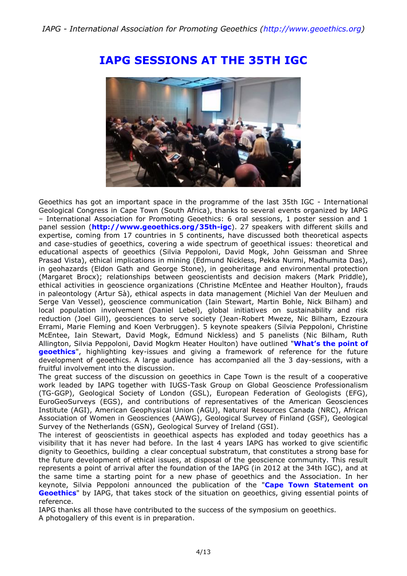

## **IAPG SESSIONS AT THE 35TH IGC**

Geoethics has got an important space in the programme of the last 35th IGC - International Geological Congress in Cape Town (South Africa), thanks to several events organized by IAPG – International Association for Promoting Geoethics: 6 oral sessions, 1 poster session and 1 panel session (**<http://www.geoethics.org/35th-igc>**). 27 speakers with different skills and expertise, coming from 17 countries in 5 continents, have discussed both theoretical aspects and case-studies of geoethics, covering a wide spectrum of geoethical issues: theoretical and educational aspects of geoethics (Silvia Peppoloni, David Mogk, John Geissman and Shree Prasad Vista), ethical implications in mining (Edmund Nickless, Pekka Nurmi, Madhumita Das), in geohazards (Eldon Gath and George Stone), in geoheritage and environmental protection (Margaret Brocx); relationships between geoscientists and decision makers (Mark Priddle), ethical activities in geoscience organizations (Christine McEntee and Heather Houlton), frauds in paleontology (Artur Sà), ethical aspects in data management (Michiel Van der Meuluen and Serge Van Vessel), geoscience communication (Iain Stewart, Martin Bohle, Nick Bilham) and local population involvement (Daniel Lebel), global initiatives on sustainability and risk reduction (Joel Gill), geosciences to serve society (Jean-Robert Mweze, Nic Bilham, Ezzoura Errami, Marie Fleming and Koen Verbruggen). 5 keynote speakers (Silvia Peppoloni, Christine McEntee, Iain Stewart, David Mogk, Edmund Nickless) and 5 panelists (Nic Bilham, Ruth Allington, Silvia Peppoloni, David Mogkm Heater Houlton) have outlined "**[What's the point of](http://iapgeoethics.blogspot.it/2016/10/a-report-from-35th-igc-panel-session.html)  [geoethics](http://iapgeoethics.blogspot.it/2016/10/a-report-from-35th-igc-panel-session.html)**", highlighting key-issues and giving a framework of reference for the future development of geoethics. A large audience has accompanied all the 3 day-sessions, with a fruitful involvement into the discussion.

The great success of the discussion on geoethics in Cape Town is the result of a cooperative work leaded by IAPG together with IUGS-Task Group on Global Geoscience Professionalism (TG-GGP), Geological Society of London (GSL), European Federation of Geologists (EFG), EuroGeoSurveys (EGS), and contributions of representatives of the American Geosciences Institute (AGI), American Geophysical Union (AGU), Natural Resources Canada (NRC), African Association of Women in Geosciences (AAWG), Geological Survey of Finland (GSF), Geological Survey of the Netherlands (GSN), Geological Survey of Ireland (GSI).

The interest of geoscientists in geoethical aspects has exploded and today geoethics has a visibility that it has never had before. In the last 4 years IAPG has worked to give scientific dignity to Geoethics, building a clear conceptual substratum, that constitutes a strong base for the future development of ethical issues, at disposal of the geoscience community. This result represents a point of arrival after the foundation of the IAPG (in 2012 at the 34th IGC), and at the same time a starting point for a new phase of geoethics and the Association. In her keynote, Silvia Peppoloni announced the publication of the "**[Cape Town Statement on](http://www.geoethics.org/ctsg)  [Geoethics](http://www.geoethics.org/ctsg)**" by IAPG, that takes stock of the situation on geoethics, giving essential points of reference.

IAPG thanks all those have contributed to the success of the symposium on geoethics.

A photogallery of this event is in preparation.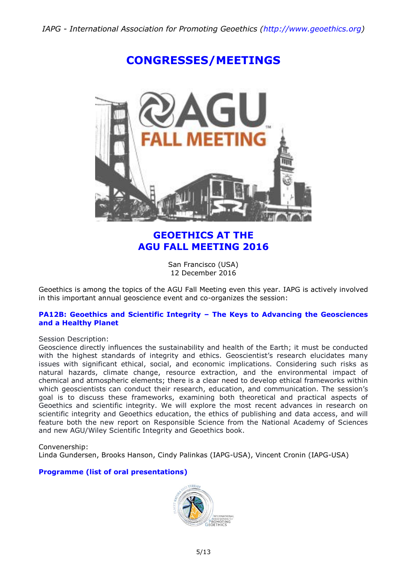# **CONGRESSES/MEETINGS**

### **GEOETHICS AT THE AGU FALL MEETING 2016**

San Francisco (USA) 12 December 2016

Geoethics is among the topics of the AGU Fall Meeting even this year. IAPG is actively involved in this important annual geoscience event and co-organizes the session:

#### **[PA12B: Geoethics and Scientific Integrity](http://www.geoethics.org/agu2016) – The Keys to Advancing the Geosciences [and a Healthy Planet](http://www.geoethics.org/agu2016)**

#### Session Description:

Geoscience directly influences the sustainability and health of the Earth; it must be conducted with the highest standards of integrity and ethics. Geoscientist's research elucidates many issues with significant ethical, social, and economic implications. Considering such risks as natural hazards, climate change, resource extraction, and the environmental impact of chemical and atmospheric elements; there is a clear need to develop ethical frameworks within which geoscientists can conduct their research, education, and communication. The session's goal is to discuss these frameworks, examining both theoretical and practical aspects of Geoethics and scientific integrity. We will explore the most recent advances in research on scientific integrity and Geoethics education, the ethics of publishing and data access, and will feature both the new report on Responsible Science from the National Academy of Sciences and new AGU/Wiley Scientific Integrity and Geoethics book.

Convenership:

Linda Gundersen, Brooks Hanson, Cindy Palinkas (IAPG-USA), Vincent Cronin (IAPG-USA)

#### **[Programme \(list of oral presentations\)](http://www.geoethics.org/agu2016)**

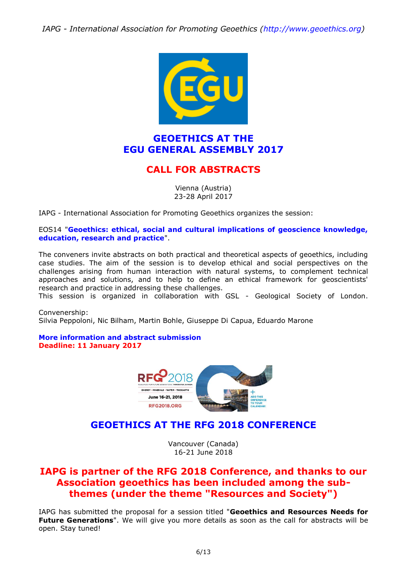

#### **GEOETHICS AT THE EGU GENERAL ASSEMBLY 2017**

### **CALL FOR ABSTRACTS**

Vienna (Austria) 23-28 April 2017

IAPG - International Association for Promoting Geoethics organizes the session:

#### EOS14 "**[Geoethics: ethical, social and cultural implications of geoscience knowledge,](http://www.geoethics.org/egu2017-eos14)  [education, research and practice](http://www.geoethics.org/egu2017-eos14)**".

The conveners invite abstracts on both practical and theoretical aspects of geoethics, including case studies. The aim of the session is to develop ethical and social perspectives on the challenges arising from human interaction with natural systems, to complement technical approaches and solutions, and to help to define an ethical framework for geoscientists' research and practice in addressing these challenges.

This session is organized in collaboration with GSL - Geological Society of London.

Convenership: Silvia Peppoloni, Nic Bilham, Martin Bohle, Giuseppe Di Capua, Eduardo Marone

**[More information and abstract submission](http://www.geoethics.org/egu2017-eos14) Deadline: 11 January 2017**



### **GEOETHICS AT THE RFG 2018 CONFERENCE**

Vancouver (Canada) 16-21 June 2018

### **IAPG is partner of the RFG 2018 Conference, and thanks to our Association geoethics has been included among the subthemes (under the theme "Resources and Society")**

IAPG has submitted the proposal for a session titled "**Geoethics and Resources Needs for Future Generations**". We will give you more details as soon as the call for abstracts will be open. Stay tuned!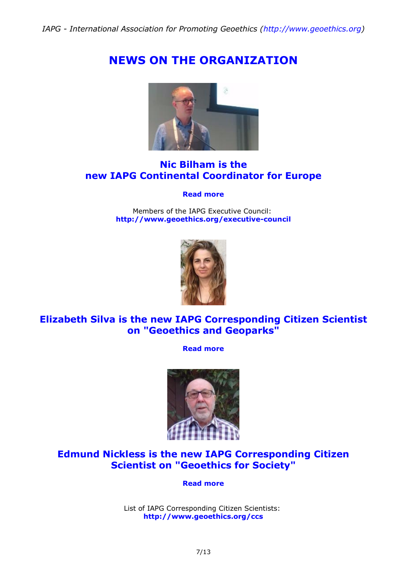# **NEWS ON THE ORGANIZATION**



### **Nic Bilham is the new IAPG Continental Coordinator for Europe**

#### **[Read more](http://iapgeoethics.blogspot.it/2016/11/nic-bilham-is-new-iapg-continental.html)**

Members of the IAPG Executive Council: **<http://www.geoethics.org/executive-council>**



### **Elizabeth Silva is the new IAPG Corresponding Citizen Scientist on "Geoethics and Geoparks"**

**[Read more](http://iapgeoethics.blogspot.it/2016/11/elizabeth-silva-is-new-iapg.html)**



### **Edmund Nickless is the new IAPG Corresponding Citizen Scientist on "Geoethics for Society"**

**[Read more](http://iapgeoethics.blogspot.it/2016/10/edmund-nickless-appointed-as-iapg.html)**

List of IAPG Corresponding Citizen Scientists: **<http://www.geoethics.org/ccs>**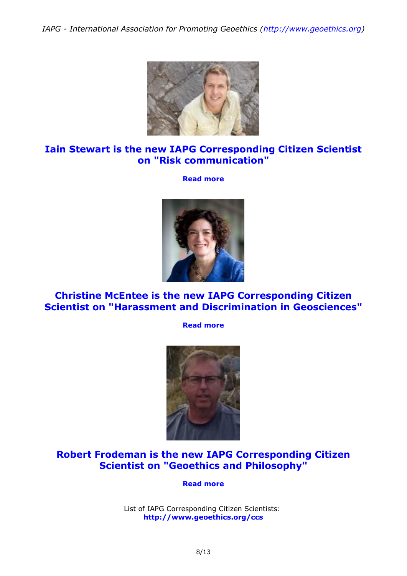

### **Iain Stewart is the new IAPG Corresponding Citizen Scientist on "Risk communication"**

**[Read more](http://iapgeoethics.blogspot.it/2016/10/iain-stewart-appointed-as-iapg-expert.html)**



**Christine McEntee is the new IAPG Corresponding Citizen Scientist on "Harassment and Discrimination in Geosciences"**

**[Read more](http://iapgeoethics.blogspot.it/2016/10/christine-mcentee-appointed-as-iapg.html)**



### **Robert Frodeman is the new IAPG Corresponding Citizen Scientist on "Geoethics and Philosophy"**

**[Read more](http://iapgeoethics.blogspot.it/2016/09/robert-frodeman-is-new-iapg.html)**

List of IAPG Corresponding Citizen Scientists: **<http://www.geoethics.org/ccs>**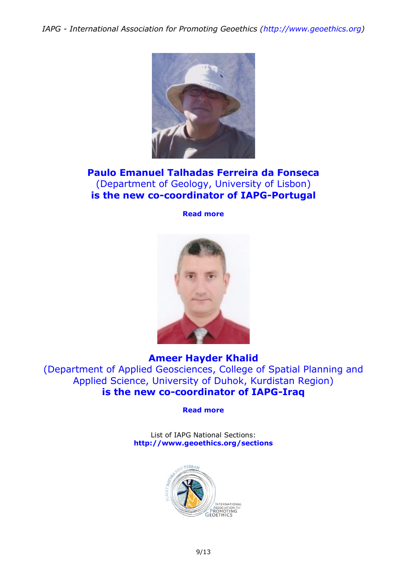

### **Paulo Emanuel Talhadas Ferreira da Fonseca**  (Department of Geology, University of Lisbon) **is the new co-coordinator of IAPG-Portugal**

**[Read more](http://iapgeoethics.blogspot.it/2016/10/a-new-co-coordinator-for-iapg-portugal.html)**



#### **Ameer Hayder Khalid**

(Department of Applied Geosciences, College of Spatial Planning and Applied Science, University of Duhok, Kurdistan Region) **is the new co-coordinator of IAPG-Iraq**

**[Read more](http://iapgeoethics.blogspot.it/2016/10/a-new-co-coordinator-for-iapg-iraq.html)**

List of IAPG National Sections: **<http://www.geoethics.org/sections>**

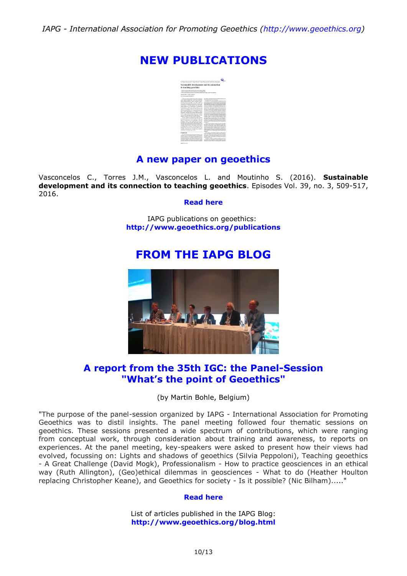## **NEW PUBLICATIONS**

| In Clay Harnwrite" Asset Senar Later Secretary and Sale Mantaly                                                                                                                                                                                                                                                                                                                                                                                                                                                                                                                                                                                                                                                                                                                                                                                                                                                                                                                                                                                                                                                                                                                                                                                                                                                                                                                                      |                                                                                                                                                                                                                                                                                                                                                                                                                                                                                                                                                                                                                                                                                                                                                                                                                                                                                                                                                                                                                                                                                                                                                                                                                                                                                                                                                                                                                                                                                                                                                                                                                                                                                                                                                                                                                                                                                                                                                                                                                               |
|------------------------------------------------------------------------------------------------------------------------------------------------------------------------------------------------------------------------------------------------------------------------------------------------------------------------------------------------------------------------------------------------------------------------------------------------------------------------------------------------------------------------------------------------------------------------------------------------------------------------------------------------------------------------------------------------------------------------------------------------------------------------------------------------------------------------------------------------------------------------------------------------------------------------------------------------------------------------------------------------------------------------------------------------------------------------------------------------------------------------------------------------------------------------------------------------------------------------------------------------------------------------------------------------------------------------------------------------------------------------------------------------------|-------------------------------------------------------------------------------------------------------------------------------------------------------------------------------------------------------------------------------------------------------------------------------------------------------------------------------------------------------------------------------------------------------------------------------------------------------------------------------------------------------------------------------------------------------------------------------------------------------------------------------------------------------------------------------------------------------------------------------------------------------------------------------------------------------------------------------------------------------------------------------------------------------------------------------------------------------------------------------------------------------------------------------------------------------------------------------------------------------------------------------------------------------------------------------------------------------------------------------------------------------------------------------------------------------------------------------------------------------------------------------------------------------------------------------------------------------------------------------------------------------------------------------------------------------------------------------------------------------------------------------------------------------------------------------------------------------------------------------------------------------------------------------------------------------------------------------------------------------------------------------------------------------------------------------------------------------------------------------------------------------------------------------|
| Sustainable development and its connection                                                                                                                                                                                                                                                                                                                                                                                                                                                                                                                                                                                                                                                                                                                                                                                                                                                                                                                                                                                                                                                                                                                                                                                                                                                                                                                                                           |                                                                                                                                                                                                                                                                                                                                                                                                                                                                                                                                                                                                                                                                                                                                                                                                                                                                                                                                                                                                                                                                                                                                                                                                                                                                                                                                                                                                                                                                                                                                                                                                                                                                                                                                                                                                                                                                                                                                                                                                                               |
| to teaching geoethics.                                                                                                                                                                                                                                                                                                                                                                                                                                                                                                                                                                                                                                                                                                                                                                                                                                                                                                                                                                                                                                                                                                                                                                                                                                                                                                                                                                               |                                                                                                                                                                                                                                                                                                                                                                                                                                                                                                                                                                                                                                                                                                                                                                                                                                                                                                                                                                                                                                                                                                                                                                                                                                                                                                                                                                                                                                                                                                                                                                                                                                                                                                                                                                                                                                                                                                                                                                                                                               |
| South of America's linear External, South Instant Detroit, Extend.<br>Easy Colorador was concerned with the broadwide with<br>look atken which hope planned from the firm house Law land and the                                                                                                                                                                                                                                                                                                                                                                                                                                                                                                                                                                                                                                                                                                                                                                                                                                                                                                                                                                                                                                                                                                                                                                                                     |                                                                                                                                                                                                                                                                                                                                                                                                                                                                                                                                                                                                                                                                                                                                                                                                                                                                                                                                                                                                                                                                                                                                                                                                                                                                                                                                                                                                                                                                                                                                                                                                                                                                                                                                                                                                                                                                                                                                                                                                                               |
| Burnet Miller's would children                                                                                                                                                                                                                                                                                                                                                                                                                                                                                                                                                                                                                                                                                                                                                                                                                                                                                                                                                                                                                                                                                                                                                                                                                                                                                                                                                                       |                                                                                                                                                                                                                                                                                                                                                                                                                                                                                                                                                                                                                                                                                                                                                                                                                                                                                                                                                                                                                                                                                                                                                                                                                                                                                                                                                                                                                                                                                                                                                                                                                                                                                                                                                                                                                                                                                                                                                                                                                               |
| And in the substantial Prints in June 14.                                                                                                                                                                                                                                                                                                                                                                                                                                                                                                                                                                                                                                                                                                                                                                                                                                                                                                                                                                                                                                                                                                                                                                                                                                                                                                                                                            |                                                                                                                                                                                                                                                                                                                                                                                                                                                                                                                                                                                                                                                                                                                                                                                                                                                                                                                                                                                                                                                                                                                                                                                                                                                                                                                                                                                                                                                                                                                                                                                                                                                                                                                                                                                                                                                                                                                                                                                                                               |
| The Armedy of Education for Resistance Christophones<br>With sald is Amery 2012 for a new verse the<br>sellent maybe adjuste in more Publishers' children.<br>Guarday has areas tinks to the three millions of<br>hannoutly Arcolarmon terrainmental accessed and<br>month and or marking reports. But the parties<br>makronowing of an inhourance as funeaments<br>Envelopment to nother poor and the select or more<br>analyzed in Personate characters. The protest potential<br>adar um andrettede de 150 venezuen ita ha ha e<br>was anally institucied in Fernance Athon<br>Alcorages Foresholics, An contents configural educa-<br>of 210 milest Arthr should and country chilect.<br>starts in the July load around difficulture in their<br>about a value of \$1 percentage approa-<br>For the passions of conducting the timba decreases<br>See-fully related a CST-and Granter Teaching are<br>movies thered names may andersides with 197<br>Formance citizen: A die radda alumni a rate for-<br>Averbake of 230 hours and in Auburn with Granders<br>Sanfety clubi permissioner and capital profit furnitured<br>monier also chance Throwne of his etable<br>as highlight the possibility of tracking Convenient<br>Annahea de Gianones Cariculus Odumius de<br>salashir contributors that Cutanhus into an offer to<br>Separativ Graduater aut in Jon<br><i><u><b>Expendit</b></u></i> | fore-thereon, referring at it is during about<br>a lost shaults an extension and man-<br>from Bulleton, the concess of Ford mushing Hernington's in street<br>with 5 tohn or scoreers durations), said development and<br>mekanismal mencion. A mitade batt de sins of promocent<br>loss supplies it makes concelled a research<br>and and he funisities teacher by send registration, is struct-<br>prices and hymnetical to the Boundary Community are to<br>Insertable This chapter is the shipmen fluid thank the state of the<br>areas when constructs in state of him granders to<br>my thy pro and (Muld Eventore in Entreprise and<br>Switcher, 1975 Advis Jeannett Confrontational or<br>sciences for both long-toward-system publishes at the revolutionary<br>actional agree to know growing that as for independent or<br>KANA (Alexandro and Mark Newspaper is shortly acces-<br>ing Abruhabata of Transitality Edward groups, Aldrewing the Waldmare<br>evidence, accel and concellented plans, associationing for<br>experience of when the fusions of business development to winds<br>in lowe give an occatally stand. The dependent<br>and industries bends recorningly Cable 10 are records. Manuscript<br>Himsels Wit annual toda maker protections allottes.<br>the America's income of the primeries and a consentent<br>ted by puterme of he second wanted has of grants and<br><b>ALCOHOL:</b><br>Janette whose dealthy leak to be fronte francests.<br>Development batter project at 2015, he suffrage for previous cortains<br>strated is three-tools and up these Dividigated biby<br>criminal of th runnings at helic lines National Excess and<br>orges of subscripting all Folkink, Numberlan, April 16 of Bage about 10<br>before a project on the countries funerally detection com-<br>drilland positions (19 mold, New advertising to Advertisin<br>and charters of the resorting put a city taxand in size.<br><b>CONTRACTOR</b><br>These states in Systematic Teacherson suitable for his |
| Six excitants, Education in Statements Structures at ESS.<br>account with the strengthed leadships of the commented<br>Margins Adventure 10, degreed by Margins Area or<br>Bulletin 43 Series Schemath Services a costs a far<br><b>Milled from Affordable show that produces for examp-</b><br>an colony propose Houseville, 2013. The total to colon.                                                                                                                                                                                                                                                                                                                                                                                                                                                                                                                                                                                                                                                                                                                                                                                                                                                                                                                                                                                                                                              | Fight Exhibitions and advanced and subscription. We had the<br>tion of the scients are closeless rates that businessless<br>three-by-book in court, historical about advance process to specific<br>dealers reductions and the accuse of Flames<br>ad future does<br>- Southern is a set for furnacial fundament Secretary<br>ad Electric William Company Proclamate structure the structure                                                                                                                                                                                                                                                                                                                                                                                                                                                                                                                                                                                                                                                                                                                                                                                                                                                                                                                                                                                                                                                                                                                                                                                                                                                                                                                                                                                                                                                                                                                                                                                                                                  |

#### **A new paper on geoethics**

Vasconcelos C., Torres J.M., Vasconcelos L. and Moutinho S. (2016). **Sustainable development and its connection to teaching geoethics**. Episodes Vol. 39, no. 3, 509-517, 2016.

#### **[Read here](http://www.episodes.org/index.php/epi/article/view/99771/72722)**

IAPG publications on geoethics: **<http://www.geoethics.org/publications>**

## **FROM THE IAPG BLOG**



#### **A report from the 35th IGC: the Panel-Session "What's the point of Geoethics"**

(by Martin Bohle, Belgium)

"The purpose of the panel-session organized by IAPG - International Association for Promoting Geoethics was to distil insights. The panel meeting followed four thematic sessions on geoethics. These sessions presented a wide spectrum of contributions, which were ranging from conceptual work, through consideration about training and awareness, to reports on experiences. At the panel meeting, key-speakers were asked to present how their views had evolved, focussing on: Lights and shadows of geoethics (Silvia Peppoloni), Teaching geoethics - A Great Challenge (David Mogk), Professionalism - How to practice geosciences in an ethical way (Ruth Allington), (Geo)ethical dilemmas in geosciences - What to do (Heather Houlton replacing Christopher Keane), and Geoethics for society - Is it possible? (Nic Bilham)....."

#### **[Read here](http://iapgeoethics.blogspot.it/2016/10/a-report-from-35th-igc-panel-session.html)**

List of articles published in the IAPG Blog: **<http://www.geoethics.org/blog.html>**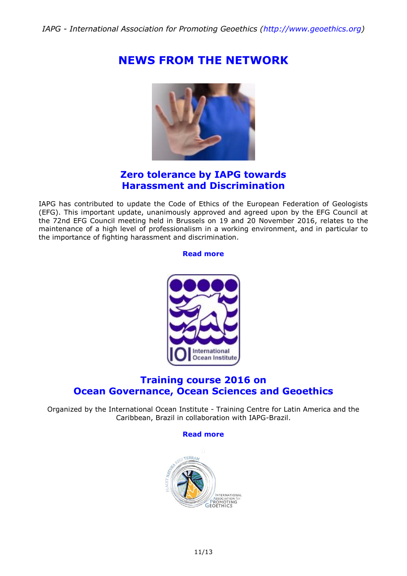# **NEWS FROM THE NETWORK**



#### **Zero tolerance by IAPG towards Harassment and Discrimination**

IAPG has contributed to update the Code of Ethics of the European Federation of Geologists (EFG). This important update, unanimously approved and agreed upon by the EFG Council at the 72nd EFG Council meeting held in Brussels on 19 and 20 November 2016, relates to the maintenance of a high level of professionalism in a working environment, and in particular to the importance of fighting harassment and discrimination.

#### **[Read more](http://www.geoethics.org/harassment-discrimination)**



### **Training course 2016 on Ocean Governance, Ocean Sciences and Geoethics**

Organized by the International Ocean Institute - Training Centre for Latin America and the Caribbean, Brazil in collaboration with IAPG-Brazil.

#### **[Read more](http://ioilactc.jimdo.com/training-program/)**

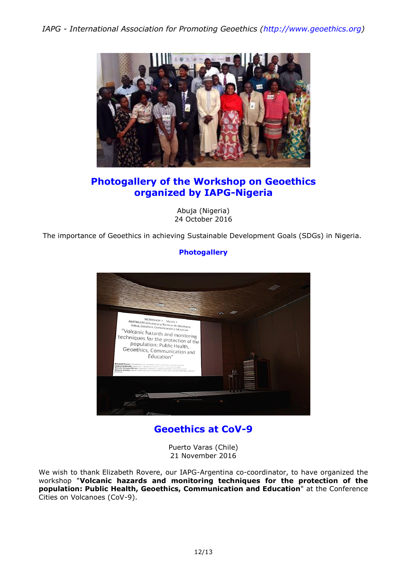

### **Photogallery of the Workshop on Geoethics organized by IAPG-Nigeria**

Abuja (Nigeria) 24 October 2016

The importance of Geoethics in achieving Sustainable Development Goals (SDGs) in Nigeria.

#### **[Photogallery](https://www.flickr.com/photos/125283529@N05/albums/72157674637718070)**



### **Geoethics at CoV-9**

Puerto Varas (Chile) 21 November 2016

We wish to thank Elizabeth Rovere, our IAPG-Argentina co-coordinator, to have organized the workshop "**Volcanic hazards and monitoring techniques for the protection of the population: Public Health, Geoethics, Communication and Education**" at the Conference Cities on Volcanoes (CoV-9).